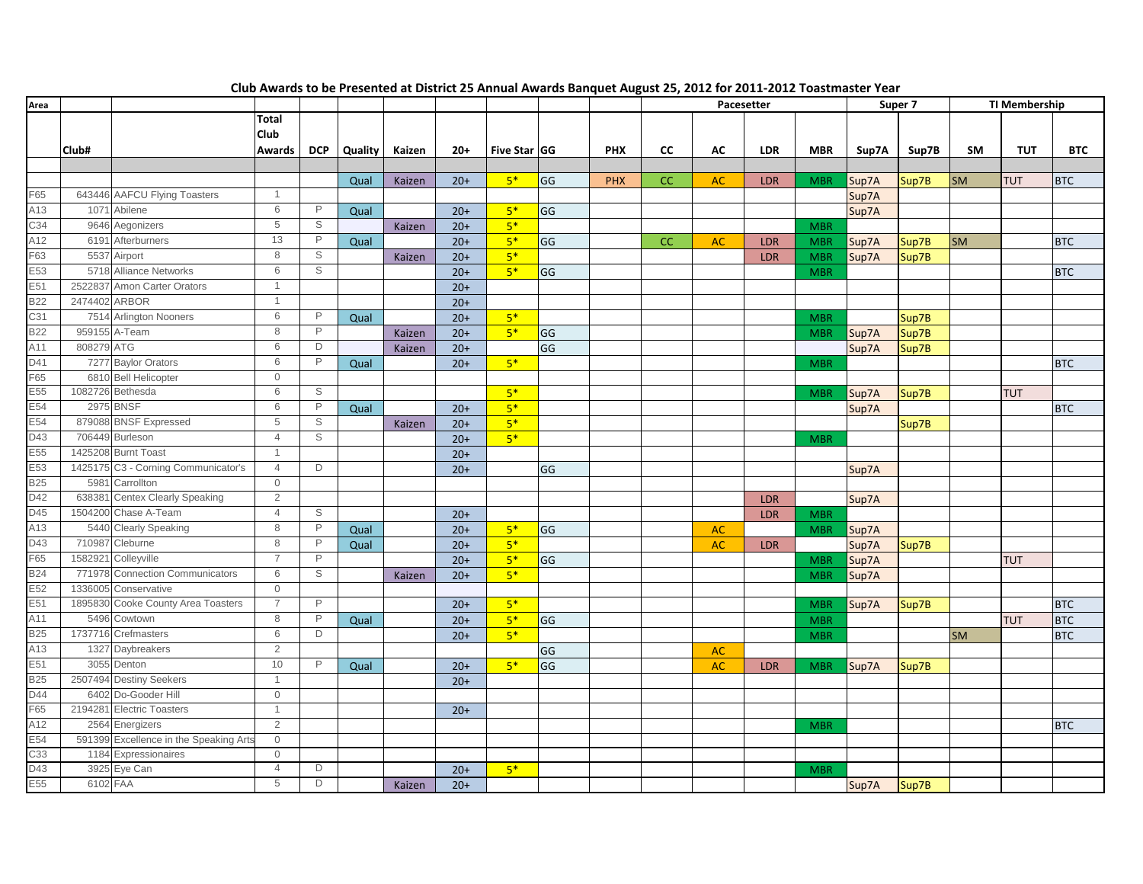| Area            |            |                                        |                |              |         |        |       |              |    |            | Pacesetter |           |            | Super 7    |       | <b>TI Membership</b> |           |            |            |
|-----------------|------------|----------------------------------------|----------------|--------------|---------|--------|-------|--------------|----|------------|------------|-----------|------------|------------|-------|----------------------|-----------|------------|------------|
|                 |            |                                        | Total          |              |         |        |       |              |    |            |            |           |            |            |       |                      |           |            |            |
|                 |            |                                        | Club           |              |         |        |       |              |    |            |            |           |            |            |       |                      |           |            |            |
|                 | Club#      |                                        | Awards         | <b>DCP</b>   | Quality | Kaizen | $20+$ | Five Star GG |    | <b>PHX</b> | CC         | AC        | <b>LDR</b> | <b>MBR</b> | Sup7A | Sup7B                | SM        | <b>TUT</b> | <b>BTC</b> |
|                 |            |                                        |                |              |         |        |       |              |    |            |            |           |            |            |       |                      |           |            |            |
|                 |            |                                        |                |              | Qual    | Kaizen | $20+$ | $5*$         | GG | <b>PHX</b> | CC         | <b>AC</b> | <b>LDR</b> | <b>MBR</b> | Sup7A | Sup7B                | <b>SM</b> | <b>TUT</b> | <b>BTC</b> |
| F65             |            | 643446 AAFCU Flying Toasters           | $\overline{1}$ |              |         |        |       |              |    |            |            |           |            |            | Sup7A |                      |           |            |            |
| A13             |            | 1071 Abilene                           | 6              | $\mathsf P$  | Qual    |        | $20+$ | $5*$         | GG |            |            |           |            |            | Sup7A |                      |           |            |            |
| C34             |            | 9646 Aegonizers                        | 5              | S            |         | Kaizen | $20+$ | $5*$         |    |            |            |           |            | <b>MBR</b> |       |                      |           |            |            |
| A12             |            | 6191 Afterburners                      | 13             | $\mathsf{P}$ | Qual    |        | $20+$ | $5*$         | GG |            | CC         | <b>AC</b> | <b>LDR</b> | <b>MBR</b> | Sup7A | Sup7B                | <b>SM</b> |            | <b>BTC</b> |
| $-63$           |            | 5537 Airport                           | 8              | S            |         | Kaizen | $20+$ | $5*$         |    |            |            |           | LDR        | <b>MBR</b> | Sup7A | Sup7B                |           |            |            |
| E53             |            | 5718 Alliance Networks                 | 6              | S            |         |        | $20+$ | $5*$         | GG |            |            |           |            | <b>MBR</b> |       |                      |           |            | <b>BTC</b> |
| E51             |            | 2522837 Amon Carter Orators            | $\overline{1}$ |              |         |        | $20+$ |              |    |            |            |           |            |            |       |                      |           |            |            |
| <b>B22</b>      |            | 2474402 ARBOR                          | $\overline{1}$ |              |         |        | $20+$ |              |    |            |            |           |            |            |       |                      |           |            |            |
| C31             |            | 7514 Arlington Nooners                 | 6              | $\mathsf{P}$ | Qual    |        | $20+$ | $5*$         |    |            |            |           |            | <b>MBR</b> |       | Sup7B                |           |            |            |
| <b>B22</b>      |            | 959155 A-Team                          | 8              | P            |         | Kaizen | $20+$ | $5*$         | GG |            |            |           |            | <b>MBR</b> | Sup7A | Sup7B                |           |            |            |
| A11             | 808279 ATG |                                        | 6              | D            |         | Kaizen | $20+$ |              | GG |            |            |           |            |            | Sup7A | Sup7B                |           |            |            |
| D41             |            | 7277 Baylor Orators                    | 6              | P            | Qual    |        | $20+$ | $5*$         |    |            |            |           |            | <b>MBR</b> |       |                      |           |            | <b>BTC</b> |
| F65             |            | 6810 Bell Helicopter                   | $\mathbf 0$    |              |         |        |       |              |    |            |            |           |            |            |       |                      |           |            |            |
| E55             |            | 1082726 Bethesda                       | 6              | S            |         |        |       | $5*$         |    |            |            |           |            | <b>MBR</b> | Sup7A | Sup7B                |           | <b>TUT</b> |            |
| E54             |            | <b>2975 BNSF</b>                       | 6              | $\mathsf{P}$ | Qual    |        | $20+$ | $5*$         |    |            |            |           |            |            | Sup7A |                      |           |            | <b>BTC</b> |
| E54             |            | 879088 BNSF Expressed                  | 5              | S            |         | Kaizen | $20+$ | $5*$         |    |            |            |           |            |            |       | Sup7B                |           |            |            |
| D43             |            | 706449 Burleson                        | $\overline{4}$ | $\mathbb S$  |         |        | $20+$ | $5*$         |    |            |            |           |            | <b>MBR</b> |       |                      |           |            |            |
| E <sub>55</sub> |            | 1425208 Burnt Toast                    | $\overline{1}$ |              |         |        | $20+$ |              |    |            |            |           |            |            |       |                      |           |            |            |
| E53             |            | 1425175 C3 - Corning Communicator's    | $\overline{4}$ | D            |         |        | $20+$ |              | GG |            |            |           |            |            | Sup7A |                      |           |            |            |
| <b>B25</b>      | 5981       | Carrollton                             | $\mathbf 0$    |              |         |        |       |              |    |            |            |           |            |            |       |                      |           |            |            |
| D42             |            | 638381 Centex Clearly Speaking         | 2              |              |         |        |       |              |    |            |            |           | <b>LDR</b> |            | Sup7A |                      |           |            |            |
| D45             |            | 1504200 Chase A-Team                   | $\overline{4}$ | S            |         |        | $20+$ |              |    |            |            |           | <b>LDR</b> | <b>MBR</b> |       |                      |           |            |            |
| A13             |            | 5440 Clearly Speaking                  | 8              | P            | Qual    |        | $20+$ | $5*$         | GG |            |            | <b>AC</b> |            | <b>MBR</b> | Sup7A |                      |           |            |            |
| D43             |            | 710987 Cleburne                        | 8              | $\mathsf{P}$ | Qual    |        | $20+$ | $5*$         |    |            |            | <b>AC</b> | <b>LDR</b> |            | Sup7A | Sup7B                |           |            |            |
| F65             | 1582921    | Colleyville                            | $\overline{7}$ | $\mathsf{P}$ |         |        | $20+$ | $5*$         | GG |            |            |           |            | <b>MBR</b> | Sup7A |                      |           | <b>TUT</b> |            |
| <b>B24</b>      |            | 771978 Connection Communicators        | 6              | $\mathbb S$  |         | Kaizen | $20+$ | $5*$         |    |            |            |           |            | <b>MBR</b> | Sup7A |                      |           |            |            |
| E52             |            | 1336005 Conservative                   | $\mathbf 0$    |              |         |        |       |              |    |            |            |           |            |            |       |                      |           |            |            |
| E51             |            | 1895830 Cooke County Area Toasters     | $\overline{7}$ | P            |         |        | $20+$ | $5*$         |    |            |            |           |            | <b>MBR</b> | Sup7A | Sup7B                |           |            | <b>BTC</b> |
| A11             |            | 5496 Cowtown                           | 8              | $\mathsf{P}$ | Qual    |        | $20+$ | $5*$         | GG |            |            |           |            | <b>MBR</b> |       |                      |           | <b>TUT</b> | <b>BTC</b> |
| <b>B25</b>      |            | 1737716 Crefmasters                    | 6              | D            |         |        | $20+$ | $5*$         |    |            |            |           |            | <b>MBR</b> |       |                      | <b>SM</b> |            | <b>BTC</b> |
| A13             |            | 1327 Daybreakers                       | 2              |              |         |        |       |              | GG |            |            | <b>AC</b> |            |            |       |                      |           |            |            |
| E51             |            | 3055 Denton                            | 10             | P            | Qual    |        | $20+$ | $5*$         | GG |            |            | AC        | <b>LDR</b> | <b>MBR</b> | Sup7A | Sup7B                |           |            |            |
| <b>B25</b>      |            | 2507494 Destiny Seekers                | $\overline{1}$ |              |         |        | $20+$ |              |    |            |            |           |            |            |       |                      |           |            |            |
| D44             |            | 6402 Do-Gooder Hill                    | $\mathbf 0$    |              |         |        |       |              |    |            |            |           |            |            |       |                      |           |            |            |
| F65             |            | 2194281 Electric Toasters              | $\overline{1}$ |              |         |        | $20+$ |              |    |            |            |           |            |            |       |                      |           |            |            |
| A12             |            | 2564 Energizers                        | $\overline{2}$ |              |         |        |       |              |    |            |            |           |            | <b>MBR</b> |       |                      |           |            | <b>BTC</b> |
| E54             |            | 591399 Excellence in the Speaking Arts | $\mathbf 0$    |              |         |        |       |              |    |            |            |           |            |            |       |                      |           |            |            |
| C33             |            | 1184 Expressionaires                   | $\mathbf{0}$   |              |         |        |       |              |    |            |            |           |            |            |       |                      |           |            |            |
| D43             |            | 3925 Eye Can                           | $\overline{4}$ | D            |         |        | $20+$ | $5*$         |    |            |            |           |            | <b>MBR</b> |       |                      |           |            |            |
| E55             |            | 6102 FAA                               | 5              | D            |         | Kaizen | $20+$ |              |    |            |            |           |            |            | Sup7A | Sup7B                |           |            |            |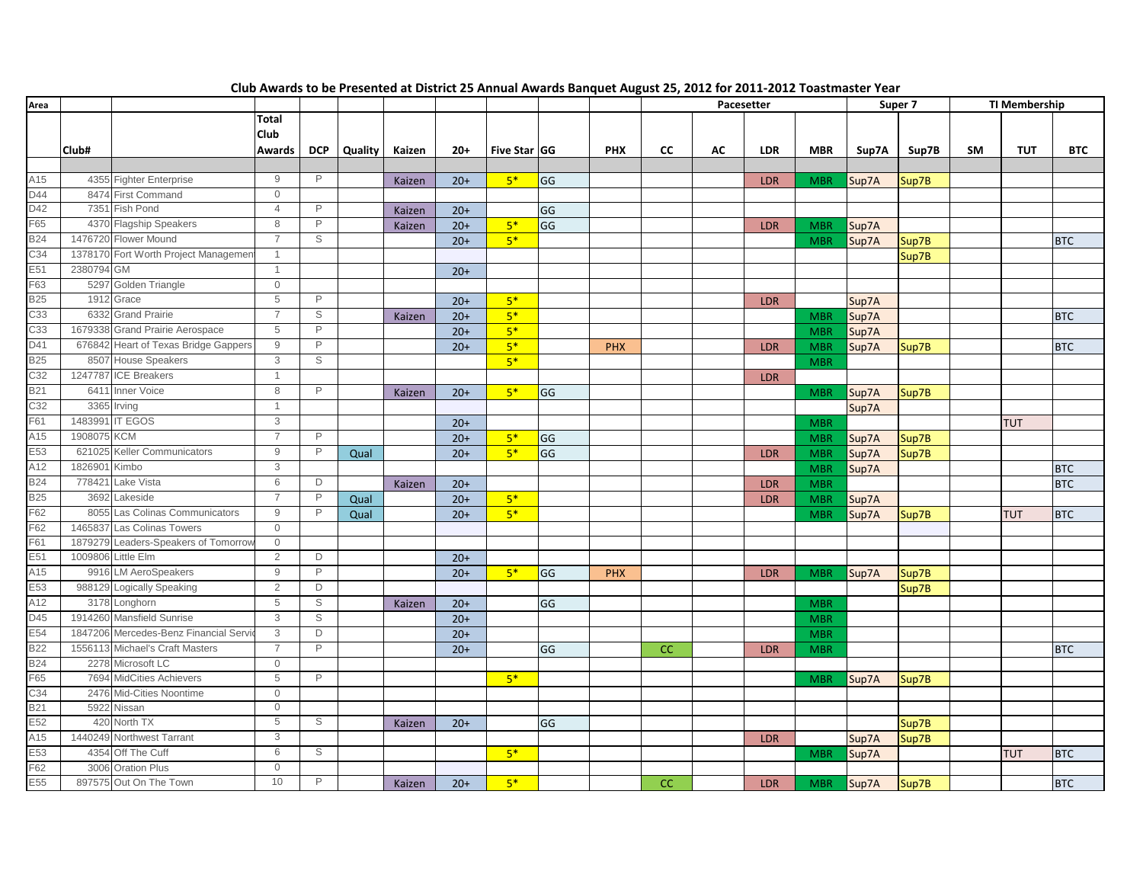| Area              |            |                                       |                |                |         |        |       |              |    |            | Pacesetter |    |            | Super 7    |       | <b>TI Membership</b> |    |            |            |
|-------------------|------------|---------------------------------------|----------------|----------------|---------|--------|-------|--------------|----|------------|------------|----|------------|------------|-------|----------------------|----|------------|------------|
|                   |            |                                       | <b>Total</b>   |                |         |        |       |              |    |            |            |    |            |            |       |                      |    |            |            |
|                   |            |                                       | <b>Club</b>    |                |         |        |       |              |    |            |            |    |            |            |       |                      |    |            |            |
|                   | Club#      |                                       | Awards         | <b>DCP</b>     | Quality | Kaizen | $20+$ | Five Star GG |    | <b>PHX</b> | CC         | AC | <b>LDR</b> | <b>MBR</b> | Sup7A | Sup7B                | SM | <b>TUT</b> | <b>BTC</b> |
|                   |            |                                       |                |                |         |        |       |              |    |            |            |    |            |            |       |                      |    |            |            |
| A15               |            | 4355 Fighter Enterprise               | 9              | P              |         | Kaizen | $20+$ | $5*$         | GG |            |            |    | <b>LDR</b> | <b>MBR</b> | Sup7A | Sup7B                |    |            |            |
| D44               |            | 8474 First Command                    | $\mathbf 0$    |                |         |        |       |              |    |            |            |    |            |            |       |                      |    |            |            |
| D42               | 7351       | Fish Pond                             | $\overline{4}$ | P              |         | Kaizen | $20+$ |              | GG |            |            |    |            |            |       |                      |    |            |            |
| F65               |            | 4370 Flagship Speakers                | 8              | $\mathsf{P}$   |         | Kaizen | $20+$ | $5*$         | GG |            |            |    | <b>LDR</b> | <b>MBR</b> | Sup7A |                      |    |            |            |
| <b>B24</b>        |            | 1476720 Flower Mound                  | $\overline{7}$ | S              |         |        | $20+$ | $5*$         |    |            |            |    |            | <b>MBR</b> | Sup7A | Sup7B                |    |            | <b>BTC</b> |
| C34               |            | 1378170 Fort Worth Project Managemer  | $\overline{1}$ |                |         |        |       |              |    |            |            |    |            |            |       | Sup7B                |    |            |            |
| E51               | 2380794 GM |                                       | $\overline{1}$ |                |         |        | $20+$ |              |    |            |            |    |            |            |       |                      |    |            |            |
| F63               |            | 5297 Golden Triangle                  | $\mathbf 0$    |                |         |        |       |              |    |            |            |    |            |            |       |                      |    |            |            |
| <b>B25</b>        |            | 1912 Grace                            | 5              | P              |         |        | $20+$ | $5*$         |    |            |            |    | <b>LDR</b> |            | Sup7A |                      |    |            |            |
| C33               | 6332       | <b>Grand Prairie</b>                  | $\overline{7}$ | S              |         | Kaizen | $20+$ | $5*$         |    |            |            |    |            | <b>MBR</b> | Sup7A |                      |    |            | <b>BTC</b> |
| C33               |            | 1679338 Grand Prairie Aerospace       | 5              | $\mathsf{P}$   |         |        | $20+$ | $5*$         |    |            |            |    |            | <b>MBR</b> | Sup7A |                      |    |            |            |
| D41               |            | 676842 Heart of Texas Bridge Gappers  | 9              | $\mathsf{P}$   |         |        | $20+$ | $5*$         |    | <b>PHX</b> |            |    | <b>LDR</b> | <b>MBR</b> | Sup7A | Sup7B                |    |            | <b>BTC</b> |
| <b>B25</b>        |            | 8507 House Speakers                   | 3              | S              |         |        |       | $5*$         |    |            |            |    |            | <b>MBR</b> |       |                      |    |            |            |
| C32               |            | 1247787 ICE Breakers                  | $\overline{1}$ |                |         |        |       |              |    |            |            |    | <b>LDR</b> |            |       |                      |    |            |            |
| <b>B21</b>        | 6411       | <b>Inner Voice</b>                    | 8              | P              |         | Kaizen | $20+$ | $5*$         | GG |            |            |    |            | <b>MBR</b> | Sup7A | Sup7B                |    |            |            |
| C32               |            | 3365 Irving                           | $\overline{1}$ |                |         |        |       |              |    |            |            |    |            |            | Sup7A |                      |    |            |            |
| F61               | 1483991    | <b>IT EGOS</b>                        | 3              |                |         |        | $20+$ |              |    |            |            |    |            | <b>MBR</b> |       |                      |    | <b>TUT</b> |            |
| A15               | 1908075    | <b>KCM</b>                            | $\overline{7}$ | P              |         |        | $20+$ | $5*$         | GG |            |            |    |            | <b>MBR</b> | Sup7A |                      |    |            |            |
| E53               | 621025     | Keller Communicators                  | 9              | $\mathsf{P}$   | Qual    |        | $20+$ | $5*$         | GG |            |            |    | <b>LDR</b> | <b>MBR</b> | Sup7A | Sup7B<br>Sup7B       |    |            |            |
| A12               | 1826901    | Kimbo                                 | 3              |                |         |        |       |              |    |            |            |    |            | <b>MBR</b> | Sup7A |                      |    |            | <b>BTC</b> |
| <b>B24</b>        | 778421     | Lake Vista                            | 6              | D              |         | Kaizen | $20+$ |              |    |            |            |    | <b>LDR</b> | <b>MBR</b> |       |                      |    |            | <b>BTC</b> |
| <b>B25</b>        | 3692       | Lakeside                              | $\overline{7}$ | $\mathsf{P}$   | Qual    |        | $20+$ | $5*$         |    |            |            |    | <b>LDR</b> | <b>MBR</b> | Sup7A |                      |    |            |            |
| F62               |            | 8055 Las Colinas Communicators        | 9              | P              |         |        | $20+$ | $5*$         |    |            |            |    |            |            | Sup7A |                      |    | <b>TUT</b> | <b>BTC</b> |
| F62               | 1465837    | Las Colinas Towers                    | $\mathbf 0$    |                | Qual    |        |       |              |    |            |            |    |            | <b>MBR</b> |       | Sup7B                |    |            |            |
| F61               | 1879279    | Leaders-Speakers of Tomorrov          | $\mathbf 0$    |                |         |        |       |              |    |            |            |    |            |            |       |                      |    |            |            |
| E51               | 1009806    | Little Elm                            | $\overline{2}$ | D              |         |        | $20+$ |              |    |            |            |    |            |            |       |                      |    |            |            |
| A15               | 9916       | <b>LM AeroSpeakers</b>                | 9              | P              |         |        | $20+$ | $5*$         | GG | <b>PHX</b> |            |    |            |            |       |                      |    |            |            |
| E53               |            | 988129 Logically Speaking             | 2              | D              |         |        |       |              |    |            |            |    | <b>LDR</b> | <b>MBR</b> | Sup7A | Sup7B                |    |            |            |
| A12               | 3178       | Longhorn                              | 5              | $\mathbb S$    |         |        |       |              |    |            |            |    |            |            |       | Sup7B                |    |            |            |
| D45               |            | 1914260 Mansfield Sunrise             | 3              | S              |         | Kaizen | $20+$ |              | GG |            |            |    |            | <b>MBR</b> |       |                      |    |            |            |
| E54               |            | 1847206 Mercedes-Benz Financial Servi | 3              | $\overline{D}$ |         |        | $20+$ |              |    |            |            |    |            | <b>MBR</b> |       |                      |    |            |            |
| <b>B22</b>        |            | 1556113 Michael's Craft Masters       | $\overline{7}$ | $\mathsf{P}$   |         |        | $20+$ |              |    |            |            |    |            | <b>MBR</b> |       |                      |    |            |            |
| <b>B24</b>        |            | 2278 Microsoft LC                     | $\mathbf{0}$   |                |         |        | $20+$ |              | GG |            | CC         |    | <b>LDR</b> | <b>MBR</b> |       |                      |    |            | <b>BTC</b> |
| F65               |            | 7694 MidCities Achievers              | 5              | P              |         |        |       |              |    |            |            |    |            |            |       |                      |    |            |            |
|                   |            |                                       | $\Omega$       |                |         |        |       | $5*$         |    |            |            |    |            | <b>MBR</b> | Sup7A | Sup7B                |    |            |            |
| C34<br><b>B21</b> |            | 2476 Mid-Cities Noontime              | $\mathbf 0$    |                |         |        |       |              |    |            |            |    |            |            |       |                      |    |            |            |
| E52               |            | 5922 Nissan<br>420 North TX           | 5              | S              |         |        |       |              |    |            |            |    |            |            |       |                      |    |            |            |
| A15               |            | Northwest Tarrant                     | 3              |                |         | Kaizen | $20+$ |              | GG |            |            |    |            |            |       | Sup7B                |    |            |            |
|                   | 1440249    |                                       |                |                |         |        |       |              |    |            |            |    | <b>LDR</b> |            | Sup7A | Sup7B                |    |            |            |
| E53               |            | 4354 Off The Cuff                     | 6              | S              |         |        |       | $5*$         |    |            |            |    |            | <b>MBR</b> | Sup7A |                      |    | <b>TUT</b> | <b>BTC</b> |
| F62               |            | 3006 Oration Plus                     | $\mathbf{0}$   |                |         |        |       |              |    |            |            |    |            |            |       |                      |    |            |            |
| E55               |            | 897575 Out On The Town                | 10             | P              |         | Kaizen | $20+$ | $5*$         |    |            | CC         |    | <b>LDR</b> | <b>MBR</b> | Sup7A | Sup7B                |    |            | <b>BTC</b> |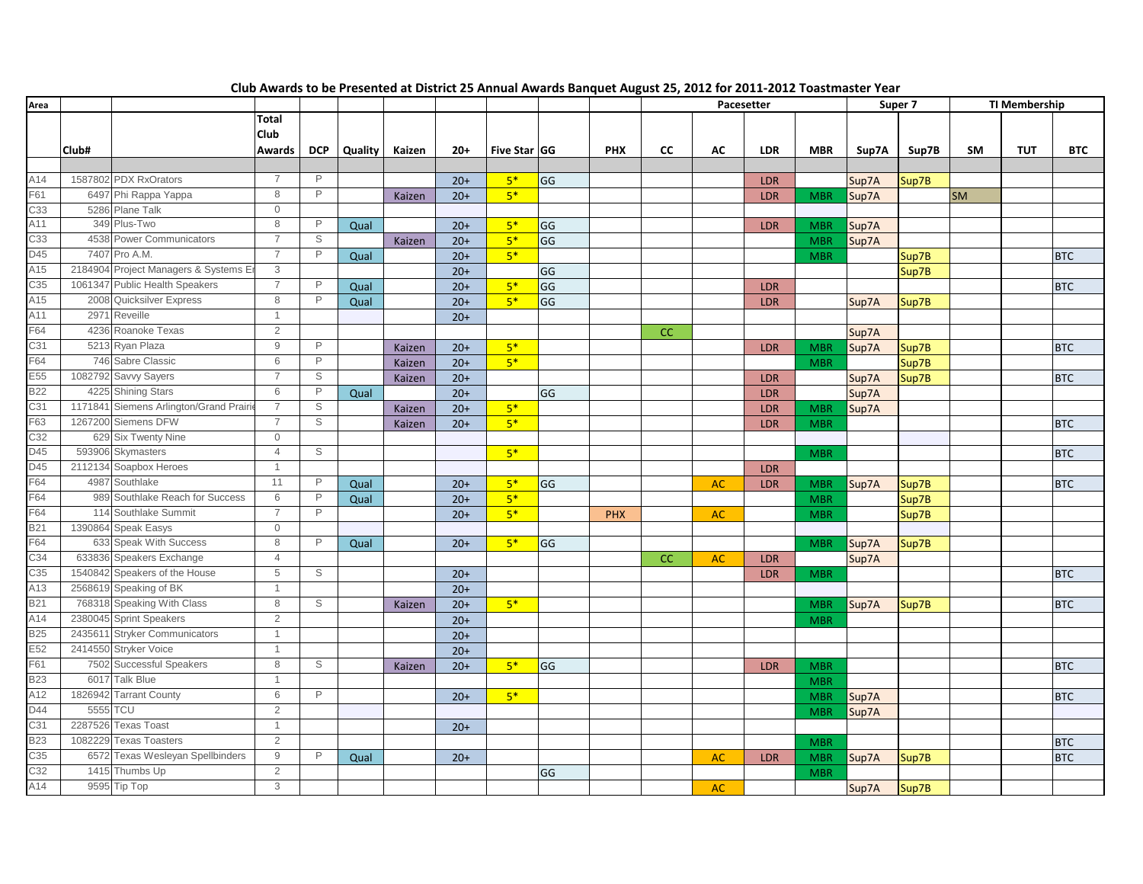| Area       |         |                                        |                |              |         |        |       |              |    |            | Pacesetter |           |            | Super 7    |       | <b>TI Membership</b> |           |            |            |
|------------|---------|----------------------------------------|----------------|--------------|---------|--------|-------|--------------|----|------------|------------|-----------|------------|------------|-------|----------------------|-----------|------------|------------|
|            |         |                                        | <b>Total</b>   |              |         |        |       |              |    |            |            |           |            |            |       |                      |           |            |            |
|            |         |                                        | Club           |              |         |        |       |              |    |            |            |           |            |            |       |                      |           |            |            |
|            | Club#   |                                        | Awards         | <b>DCP</b>   | Quality | Kaizen | $20+$ | Five Star GG |    | <b>PHX</b> | CC         | AC        | <b>LDR</b> | <b>MBR</b> | Sup7A | Sup7B                | SM        | <b>TUT</b> | <b>BTC</b> |
|            |         |                                        |                |              |         |        |       |              |    |            |            |           |            |            |       |                      |           |            |            |
| A14        |         | 1587802 PDX RxOrators                  | $\overline{7}$ | P            |         |        | $20+$ | $5*$         | GG |            |            |           | <b>LDR</b> |            | Sup7A | Sup7B                |           |            |            |
| F61        |         | 6497 Phi Rappa Yappa                   | 8              | $\mathsf{P}$ |         | Kaizen | $20+$ | $5*$         |    |            |            |           | LDR        | <b>MBR</b> | Sup7A |                      | <b>SM</b> |            |            |
| C33        |         | 5286 Plane Talk                        | $\mathbf 0$    |              |         |        |       |              |    |            |            |           |            |            |       |                      |           |            |            |
| A11        |         | 349 Plus-Two                           | 8              | $\mathsf{P}$ | Qual    |        | $20+$ | $5*$         | GG |            |            |           | <b>LDR</b> | <b>MBR</b> | Sup7A |                      |           |            |            |
| C33        |         | 4538 Power Communicators               | $\overline{7}$ | S            |         | Kaizen | $20+$ | $5*$         | GG |            |            |           |            | <b>MBR</b> | Sup7A |                      |           |            |            |
| D45        |         | 7407 Pro A.M.                          | $\overline{7}$ | $\mathsf{P}$ | Qual    |        | $20+$ | $5*$         |    |            |            |           |            | <b>MBR</b> |       | Sup7B                |           |            | <b>BTC</b> |
| A15        |         | 2184904 Project Managers & Systems Er  | 3              |              |         |        | $20+$ |              | GG |            |            |           |            |            |       | Sup7B                |           |            |            |
| C35        |         | 1061347 Public Health Speakers         | $\overline{7}$ | P            | Qual    |        | $20+$ | $5*$         | GG |            |            |           | <b>LDR</b> |            |       |                      |           |            | <b>BTC</b> |
| A15        |         | 2008 Quicksilver Express               | 8              | P            | Qual    |        | $20+$ | $5*$         | GG |            |            |           | <b>LDR</b> |            | Sup7A | Sup7B                |           |            |            |
| A11        |         | 2971 Reveille                          | $\overline{1}$ |              |         |        | $20+$ |              |    |            |            |           |            |            |       |                      |           |            |            |
| F64        |         | 4236 Roanoke Texas                     | 2              |              |         |        |       |              |    |            | <b>CC</b>  |           |            |            | Sup7A |                      |           |            |            |
| C31        |         | 5213 Ryan Plaza                        | 9              | $\mathsf{P}$ |         | Kaizen | $20+$ | $5*$         |    |            |            |           | <b>LDR</b> | <b>MBR</b> | Sup7A | Sup7B                |           |            | <b>BTC</b> |
| F64        |         | 746 Sabre Classic                      | 6              | $\mathsf{P}$ |         | Kaizen | $20+$ | $5*$         |    |            |            |           |            | <b>MBR</b> |       | Sup7B                |           |            |            |
| E55        |         | 1082792 Savvy Sayers                   | $\overline{7}$ | S            |         | Kaizen | $20+$ |              |    |            |            |           | <b>LDR</b> |            | Sup7A | Sup7B                |           |            | <b>BTC</b> |
| <b>B22</b> |         | 4225 Shining Stars                     | 6              | $\mathsf{P}$ | Qual    |        | $20+$ |              | GG |            |            |           | LDR        |            | Sup7A |                      |           |            |            |
| C31        |         | 1171841 Siemens Arlington/Grand Prairi | 7              | S            |         | Kaizen | $20+$ | $5*$         |    |            |            |           | LDR        | <b>MBR</b> | Sup7A |                      |           |            |            |
| F63        |         | 1267200 Siemens DFW                    | $\overline{7}$ | S            |         | Kaizen | $20+$ | $5*$         |    |            |            |           | <b>LDR</b> | <b>MBR</b> |       |                      |           |            | <b>BTC</b> |
| C32        |         | 629 Six Twenty Nine                    | $\mathbf{0}$   |              |         |        |       |              |    |            |            |           |            |            |       |                      |           |            |            |
| D45        |         | 593906 Skymasters                      | $\overline{4}$ | S            |         |        |       | $5*$         |    |            |            |           |            | <b>MBR</b> |       |                      |           |            | <b>BTC</b> |
| D45        |         | 2112134 Soapbox Heroes                 | $\overline{1}$ |              |         |        |       |              |    |            |            |           | LDR        |            |       |                      |           |            |            |
| F64        |         | 4987 Southlake                         | 11             | $\mathsf{P}$ | Qual    |        | $20+$ | $5*$         | GG |            |            | <b>AC</b> | <b>LDR</b> | <b>MBR</b> | Sup7A | Sup7B                |           |            | <b>BTC</b> |
| F64        |         | 989 Southlake Reach for Success        | 6              | P            | Qual    |        | $20+$ | $5*$         |    |            |            |           |            | <b>MBR</b> |       | Sup7B                |           |            |            |
| F64        |         | 114 Southlake Summit                   | $\overline{7}$ | $\mathsf{P}$ |         |        | $20+$ | $5*$         |    | <b>PHX</b> |            | <b>AC</b> |            | <b>MBR</b> |       | Sup7B                |           |            |            |
| <b>B21</b> |         | 1390864 Speak Easys                    | $\mathbf{0}$   |              |         |        |       |              |    |            |            |           |            |            |       |                      |           |            |            |
| F64        |         | 633 Speak With Success                 | 8              | $\mathsf{P}$ | Qual    |        | $20+$ | $5*$         | GG |            |            |           |            | <b>MBR</b> | Sup7A | Sup7B                |           |            |            |
| C34        |         | 633836 Speakers Exchange               | $\overline{4}$ |              |         |        |       |              |    |            | CC         | AC        | <b>LDR</b> |            | Sup7A |                      |           |            |            |
| C35        |         | 1540842 Speakers of the House          | 5              | S            |         |        | $20+$ |              |    |            |            |           | <b>LDR</b> | <b>MBR</b> |       |                      |           |            | <b>BTC</b> |
| A13        |         | 2568619 Speaking of BK                 | $\overline{1}$ |              |         |        | $20+$ |              |    |            |            |           |            |            |       |                      |           |            |            |
| <b>B21</b> |         | 768318 Speaking With Class             | 8              | S            |         | Kaizen | $20+$ | $5*$         |    |            |            |           |            | <b>MBR</b> | Sup7A | Sup7B                |           |            | <b>BTC</b> |
| A14        |         | 2380045 Sprint Speakers                | $\overline{2}$ |              |         |        | $20+$ |              |    |            |            |           |            | <b>MBR</b> |       |                      |           |            |            |
| <b>B25</b> |         | 2435611 Stryker Communicators          | $\overline{1}$ |              |         |        | $20+$ |              |    |            |            |           |            |            |       |                      |           |            |            |
| E52        |         | 2414550 Stryker Voice                  |                |              |         |        | $20+$ |              |    |            |            |           |            |            |       |                      |           |            |            |
| F61        |         | 7502 Successful Speakers               | 8              | S            |         | Kaizen | $20+$ | $5*$         | GG |            |            |           | LDR        | <b>MBR</b> |       |                      |           |            | <b>BTC</b> |
| <b>B23</b> |         | 6017 Talk Blue                         | $\mathbf{1}$   |              |         |        |       |              |    |            |            |           |            | <b>MBR</b> |       |                      |           |            |            |
| A12        |         | 1826942 Tarrant County                 | 6              | P            |         |        | $20+$ | $5*$         |    |            |            |           |            | <b>MBR</b> | Sup7A |                      |           |            | <b>BTC</b> |
| D44        | 5555    | <b>TCU</b>                             | 2              |              |         |        |       |              |    |            |            |           |            | <b>MBR</b> | Sup7A |                      |           |            |            |
| C31        |         | 2287526 Texas Toast                    | $\overline{1}$ |              |         |        | $20+$ |              |    |            |            |           |            |            |       |                      |           |            |            |
| <b>B23</b> | 1082229 | <b>Texas Toasters</b>                  | 2              |              |         |        |       |              |    |            |            |           |            | <b>MBR</b> |       |                      |           |            | <b>BTC</b> |
| C35        |         | 6572 Texas Wesleyan Spellbinders       | $9\,$          | P            | Qual    |        | $20+$ |              |    |            |            | <b>AC</b> | <b>LDR</b> | <b>MBR</b> | Sup7A | Sup7B                |           |            | <b>BTC</b> |
| C32        |         | 1415 Thumbs Up                         | 2              |              |         |        |       |              | GG |            |            |           |            | <b>MBR</b> |       |                      |           |            |            |
| A14        |         | 9595 Tip Top                           | 3              |              |         |        |       |              |    |            |            | <b>AC</b> |            |            | Sup7A | Sup7B                |           |            |            |